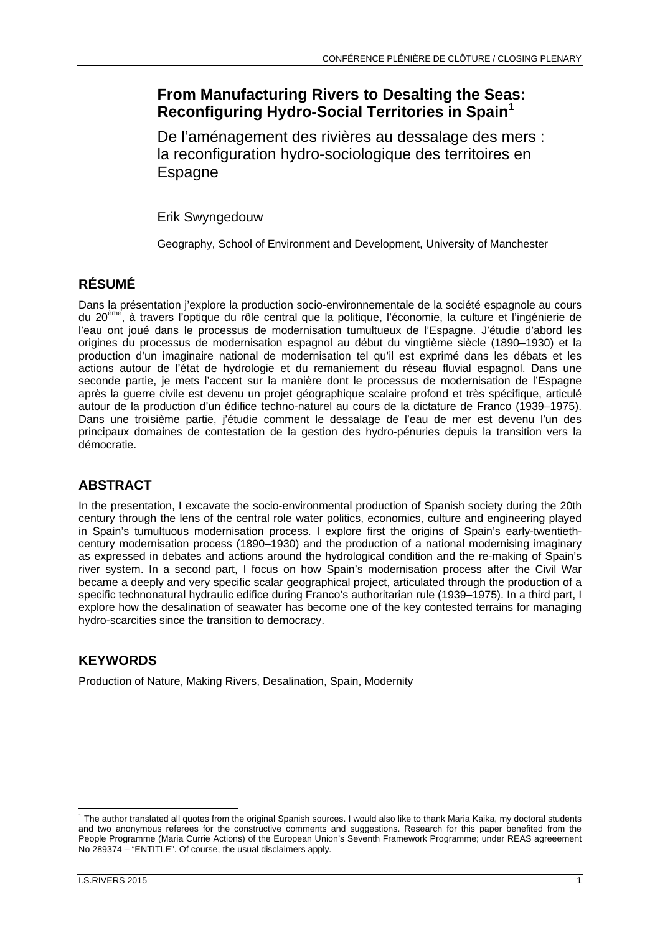# **From Manufacturing Rivers to Desalting the Seas: Reconfiguring Hydro-Social Territories in Spain<sup>1</sup>**

De l'aménagement des rivières au dessalage des mers : la reconfiguration hydro-sociologique des territoires en **Espagne** 

Erik Swyngedouw

Geography, School of Environment and Development, University of Manchester

## **RÉSUMÉ**

Dans la présentation j'explore la production socio-environnementale de la société espagnole au cours du 20ème, à travers l'optique du rôle central que la politique, l'économie, la culture et l'ingénierie de l'eau ont joué dans le processus de modernisation tumultueux de l'Espagne. J'étudie d'abord les origines du processus de modernisation espagnol au début du vingtième siècle (1890–1930) et la production d'un imaginaire national de modernisation tel qu'il est exprimé dans les débats et les actions autour de l'état de hydrologie et du remaniement du réseau fluvial espagnol. Dans une seconde partie, je mets l'accent sur la manière dont le processus de modernisation de l'Espagne après la guerre civile est devenu un projet géographique scalaire profond et très spécifique, articulé autour de la production d'un édifice techno-naturel au cours de la dictature de Franco (1939–1975). Dans une troisième partie, j'étudie comment le dessalage de l'eau de mer est devenu l'un des principaux domaines de contestation de la gestion des hydro-pénuries depuis la transition vers la démocratie.

## **ABSTRACT**

In the presentation, I excavate the socio-environmental production of Spanish society during the 20th century through the lens of the central role water politics, economics, culture and engineering played in Spain's tumultuous modernisation process. I explore first the origins of Spain's early-twentiethcentury modernisation process (1890–1930) and the production of a national modernising imaginary as expressed in debates and actions around the hydrological condition and the re-making of Spain's river system. In a second part, I focus on how Spain's modernisation process after the Civil War became a deeply and very specific scalar geographical project, articulated through the production of a specific technonatural hydraulic edifice during Franco's authoritarian rule (1939–1975). In a third part, I explore how the desalination of seawater has become one of the key contested terrains for managing hydro-scarcities since the transition to democracy.

## **KEYWORDS**

Production of Nature, Making Rivers, Desalination, Spain, Modernity

 1 The author translated all quotes from the original Spanish sources. I would also like to thank Maria Kaika, my doctoral students and two anonymous referees for the constructive comments and suggestions. Research for this paper benefited from the People Programme (Maria Currie Actions) of the European Union's Seventh Framework Programme; under REAS agreeement No 289374 – "ENTITLE". Of course, the usual disclaimers apply.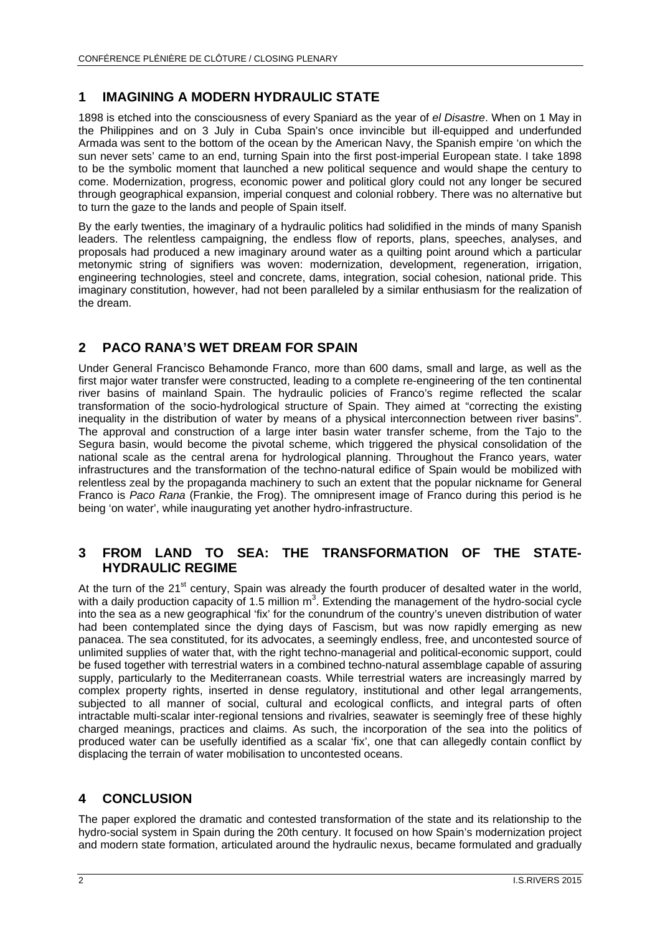#### **1 IMAGINING A MODERN HYDRAULIC STATE**

1898 is etched into the consciousness of every Spaniard as the year of *el Disastre*. When on 1 May in the Philippines and on 3 July in Cuba Spain's once invincible but ill-equipped and underfunded Armada was sent to the bottom of the ocean by the American Navy, the Spanish empire 'on which the sun never sets' came to an end, turning Spain into the first post-imperial European state. I take 1898 to be the symbolic moment that launched a new political sequence and would shape the century to come. Modernization, progress, economic power and political glory could not any longer be secured through geographical expansion, imperial conquest and colonial robbery. There was no alternative but to turn the gaze to the lands and people of Spain itself.

By the early twenties, the imaginary of a hydraulic politics had solidified in the minds of many Spanish leaders. The relentless campaigning, the endless flow of reports, plans, speeches, analyses, and proposals had produced a new imaginary around water as a quilting point around which a particular metonymic string of signifiers was woven: modernization, development, regeneration, irrigation, engineering technologies, steel and concrete, dams, integration, social cohesion, national pride. This imaginary constitution, however, had not been paralleled by a similar enthusiasm for the realization of the dream.

## **2 PACO RANA'S WET DREAM FOR SPAIN**

Under General Francisco Behamonde Franco, more than 600 dams, small and large, as well as the first major water transfer were constructed, leading to a complete re-engineering of the ten continental river basins of mainland Spain. The hydraulic policies of Franco's regime reflected the scalar transformation of the socio-hydrological structure of Spain. They aimed at "correcting the existing inequality in the distribution of water by means of a physical interconnection between river basins". The approval and construction of a large inter basin water transfer scheme, from the Tajo to the Segura basin, would become the pivotal scheme, which triggered the physical consolidation of the national scale as the central arena for hydrological planning. Throughout the Franco years, water infrastructures and the transformation of the techno-natural edifice of Spain would be mobilized with relentless zeal by the propaganda machinery to such an extent that the popular nickname for General Franco is *Paco Rana* (Frankie, the Frog). The omnipresent image of Franco during this period is he being 'on water', while inaugurating yet another hydro-infrastructure.

#### **3 FROM LAND TO SEA: THE TRANSFORMATION OF THE STATE-HYDRAULIC REGIME**

At the turn of the 21<sup>st</sup> century. Spain was already the fourth producer of desalted water in the world, with a daily production capacity of 1.5 million  $m^3$ . Extending the management of the hydro-social cycle into the sea as a new geographical 'fix' for the conundrum of the country's uneven distribution of water had been contemplated since the dying days of Fascism, but was now rapidly emerging as new panacea. The sea constituted, for its advocates, a seemingly endless, free, and uncontested source of unlimited supplies of water that, with the right techno-managerial and political-economic support, could be fused together with terrestrial waters in a combined techno-natural assemblage capable of assuring supply, particularly to the Mediterranean coasts. While terrestrial waters are increasingly marred by complex property rights, inserted in dense regulatory, institutional and other legal arrangements, subjected to all manner of social, cultural and ecological conflicts, and integral parts of often intractable multi-scalar inter-regional tensions and rivalries, seawater is seemingly free of these highly charged meanings, practices and claims. As such, the incorporation of the sea into the politics of produced water can be usefully identified as a scalar 'fix', one that can allegedly contain conflict by displacing the terrain of water mobilisation to uncontested oceans.

## **4 CONCLUSION**

The paper explored the dramatic and contested transformation of the state and its relationship to the hydro-social system in Spain during the 20th century. It focused on how Spain's modernization project and modern state formation, articulated around the hydraulic nexus, became formulated and gradually